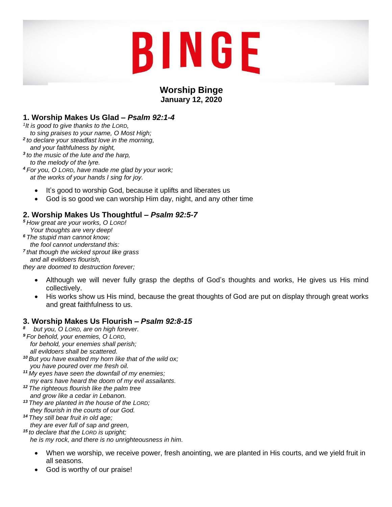# BINGE

# **Worship Binge January 12, 2020**

# **1. Worship Makes Us Glad –** *Psalm 92:1-4*

*1 It is good to give thanks to the LORD,*

- *to sing praises to your name, O Most High;*
- *2 to declare your steadfast love in the morning, and your faithfulness by night,*
- *3 to the music of the lute and the harp,*
- *to the melody of the lyre.*

*<sup>4</sup> For you, O LORD, have made me glad by your work; at the works of your hands I sing for joy.*

- It's good to worship God, because it uplifts and liberates us
- God is so good we can worship Him day, night, and any other time

# **2. Worship Makes Us Thoughtful –** *Psalm 92:5-7*

*<sup>5</sup> How great are your works, O LORD! Your thoughts are very deep!*

- *<sup>6</sup> The stupid man cannot know;*
- *the fool cannot understand this:*
- *7 that though the wicked sprout like grass*
- *and all evildoers flourish,*

*they are doomed to destruction forever;*

- Although we will never fully grasp the depths of God's thoughts and works, He gives us His mind collectively.
- His works show us His mind, because the great thoughts of God are put on display through great works and great faithfulness to us.

## **3. Worship Makes Us Flourish –** *Psalm 92:8-15*

- *8 but you, O LORD, are on high forever. <sup>9</sup> For behold, your enemies, O LORD, for behold, your enemies shall perish;*
	- *all evildoers shall be scattered.*
- *<sup>10</sup> But you have exalted my horn like that of the wild ox; you have poured over me fresh oil.*
- *<sup>11</sup> My eyes have seen the downfall of my enemies; my ears have heard the doom of my evil assailants.*
- *<sup>12</sup> The righteous flourish like the palm tree and grow like a cedar in Lebanon.*
- *<sup>13</sup> They are planted in the house of the LORD; they flourish in the courts of our God.*
- *<sup>14</sup> They still bear fruit in old age; they are ever full of sap and green,*

*<sup>15</sup> to declare that the LORD is upright;*

 *he is my rock, and there is no unrighteousness in him.*

- When we worship, we receive power, fresh anointing, we are planted in His courts, and we yield fruit in all seasons.
- God is worthy of our praise!